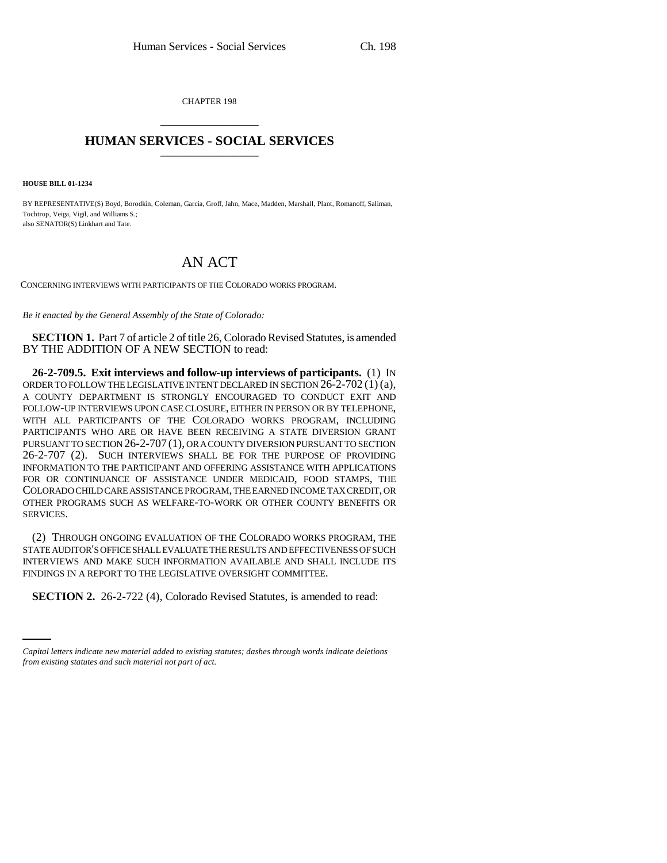CHAPTER 198 \_\_\_\_\_\_\_\_\_\_\_\_\_\_\_

## **HUMAN SERVICES - SOCIAL SERVICES** \_\_\_\_\_\_\_\_\_\_\_\_\_\_\_

**HOUSE BILL 01-1234**

BY REPRESENTATIVE(S) Boyd, Borodkin, Coleman, Garcia, Groff, Jahn, Mace, Madden, Marshall, Plant, Romanoff, Saliman, Tochtrop, Veiga, Vigil, and Williams S.; also SENATOR(S) Linkhart and Tate.

## AN ACT

CONCERNING INTERVIEWS WITH PARTICIPANTS OF THE COLORADO WORKS PROGRAM.

*Be it enacted by the General Assembly of the State of Colorado:*

**SECTION 1.** Part 7 of article 2 of title 26, Colorado Revised Statutes, is amended BY THE ADDITION OF A NEW SECTION to read:

**26-2-709.5. Exit interviews and follow-up interviews of participants.** (1) IN ORDER TO FOLLOW THE LEGISLATIVE INTENT DECLARED IN SECTION  $26-2-702(1)(a)$ , A COUNTY DEPARTMENT IS STRONGLY ENCOURAGED TO CONDUCT EXIT AND FOLLOW-UP INTERVIEWS UPON CASE CLOSURE, EITHER IN PERSON OR BY TELEPHONE, WITH ALL PARTICIPANTS OF THE COLORADO WORKS PROGRAM, INCLUDING PARTICIPANTS WHO ARE OR HAVE BEEN RECEIVING A STATE DIVERSION GRANT PURSUANT TO SECTION 26-2-707 (1), OR A COUNTY DIVERSION PURSUANT TO SECTION 26-2-707 (2). SUCH INTERVIEWS SHALL BE FOR THE PURPOSE OF PROVIDING INFORMATION TO THE PARTICIPANT AND OFFERING ASSISTANCE WITH APPLICATIONS FOR OR CONTINUANCE OF ASSISTANCE UNDER MEDICAID, FOOD STAMPS, THE COLORADO CHILD CARE ASSISTANCE PROGRAM, THE EARNED INCOME TAX CREDIT, OR OTHER PROGRAMS SUCH AS WELFARE-TO-WORK OR OTHER COUNTY BENEFITS OR SERVICES.

(2) THROUGH ONGOING EVALUATION OF THE COLORADO WORKS PROGRAM, THE STATE AUDITOR'S OFFICE SHALL EVALUATE THE RESULTS AND EFFECTIVENESS OF SUCH INTERVIEWS AND MAKE SUCH INFORMATION AVAILABLE AND SHALL INCLUDE ITS FINDINGS IN A REPORT TO THE LEGISLATIVE OVERSIGHT COMMITTEE.

**SECTION 2.** 26-2-722 (4), Colorado Revised Statutes, is amended to read:

*Capital letters indicate new material added to existing statutes; dashes through words indicate deletions from existing statutes and such material not part of act.*